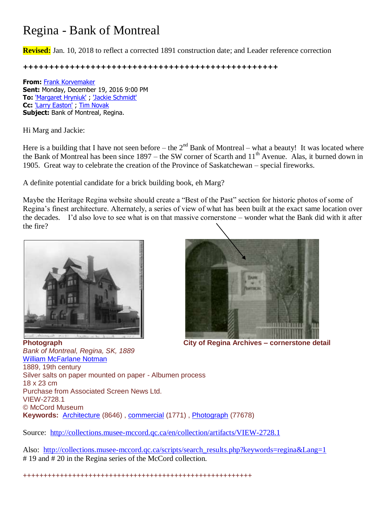# Regina - Bank of Montreal

**Revised:** Jan. 10, 2018 to reflect a corrected 1891 construction date; and Leader reference correction

**+++++++++++++++++++++++++++++++++++++++++++++++++**

**From:** [Frank Korvemaker](mailto:fkorvemaker@accesscomm.ca) **Sent:** Monday, December 19, 2016 9:00 PM **To:** ['Margaret Hryniuk'](mailto:marg@accesscomm.ca) ; ['Jackie Schmidt'](mailto:jackieuschmidt@gmail.com) **Cc:** ['Larry Easton'](mailto:leaston@sasktel.net) ; [Tim Novak](mailto:tnovak@archives.gov.sk.ca) **Subject:** Bank of Montreal, Regina.

Hi Marg and Jackie:

Here is a building that I have not seen before – the  $2<sup>nd</sup>$  Bank of Montreal – what a beauty! It was located where the Bank of Montreal has been since  $1897 -$  the SW corner of Scarth and  $11<sup>th</sup>$  Avenue. Alas, it burned down in 1905. Great way to celebrate the creation of the Province of Saskatchewan – special fireworks.

A definite potential candidate for a brick building book, eh Marg?

Maybe the Heritage Regina website should create a "Best of the Past" section for historic photos of some of Regina's finest architecture. Alternately, a series of view of what has been built at the exact same location over the decades. I'd also love to see what is on that massive cornerstone – wonder what the Bank did with it after the fire?





**Photograph City of Regina Archives – cornerstone detail**

*Bank of Montreal, Regina, SK, 1889* [William McFarlane Notman](http://collections.musee-mccord.qc.ca/scripts/explore.php?Lang=1&tableid=1&tablename=artist&elementid=00479__true) 1889, 19th century Silver salts on paper mounted on paper - Albumen process 18 x 23 cm Purchase from Associated Screen News Ltd. VIEW-2728.1 © McCord Museum **Keywords:** [Architecture](http://collections.musee-mccord.qc.ca/scripts/search_results.php?Lang=1&keyword=5883) (8646) , [commercial](http://collections.musee-mccord.qc.ca/scripts/search_results.php?Lang=1&keyword=6386) (1771) , [Photograph](http://collections.musee-mccord.qc.ca/scripts/search_results.php?Lang=1&keyword=7610) (77678)

Source: <http://collections.musee-mccord.qc.ca/en/collection/artifacts/VIEW-2728.1>

Also: [http://collections.musee-mccord.qc.ca/scripts/search\\_results.php?keywords=regina&Lang=1](http://collections.musee-mccord.qc.ca/scripts/search_results.php?keywords=regina&Lang=1) # 19 and # 20 in the Regina series of the McCord collection.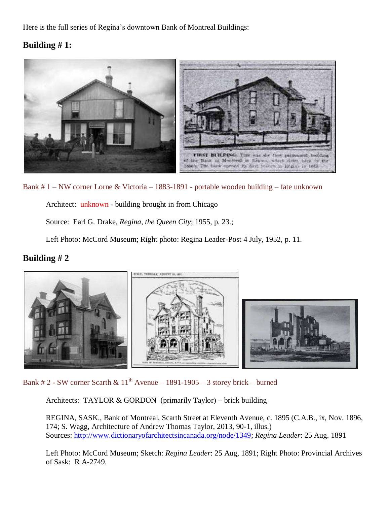Here is the full series of Regina's downtown Bank of Montreal Buildings:

## **Building # 1:**



Bank # 1 – NW corner Lorne & Victoria – 1883-1891 - portable wooden building – fate unknown

Architect: unknown - building brought in from Chicago

Source: Earl G. Drake, *Regina, the Queen City*; 1955, p. 23.;

Left Photo: McCord Museum; Right photo: Regina Leader-Post 4 July, 1952, p. 11.

### **Building # 2**



Bank # 2 - SW corner Scarth &  $11<sup>th</sup>$  Avenue – 1891-1905 – 3 storey brick – burned

Architects: TAYLOR & GORDON (primarily Taylor) – brick building

REGINA, SASK., Bank of Montreal, Scarth Street at Eleventh Avenue, c. 1895 (C.A.B., ix, Nov. 1896, 174; S. Wagg, Architecture of Andrew Thomas Taylor, 2013, 90-1, illus.) Sources: [http://www.dictionaryofarchitectsincanada.org/node/1349;](http://www.dictionaryofarchitectsincanada.org/node/1349) *Regina Leader*: 25 Aug. 1891

Left Photo: McCord Museum; Sketch: *Regina Leader*: 25 Aug, 1891; Right Photo: Provincial Archives of Sask: R A-2749.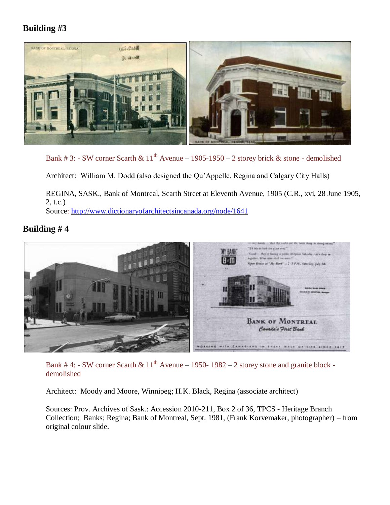## **Building #3**



Bank # 3: - SW corner Scarth &  $11<sup>th</sup>$  Avenue – 1905-1950 – 2 storey brick & stone - demolished

Architect: William M. Dodd (also designed the Qu'Appelle, Regina and Calgary City Halls)

REGINA, SASK., Bank of Montreal, Scarth Street at Eleventh Avenue, 1905 (C.R., xvi, 28 June 1905, 2, t.c.) Source:<http://www.dictionaryofarchitectsincanada.org/node/1641>

### **Building # 4**



Bank # 4: - SW corner Scarth &  $11<sup>th</sup>$  Avenue – 1950- 1982 – 2 storey stone and granite block demolished

Architect: Moody and Moore, Winnipeg; H.K. Black, Regina (associate architect)

Sources: Prov. Archives of Sask.: Accession 2010-211, Box 2 of 36, TPCS - Heritage Branch Collection; Banks; Regina; Bank of Montreal, Sept. 1981, (Frank Korvemaker, photographer) – from original colour slide.